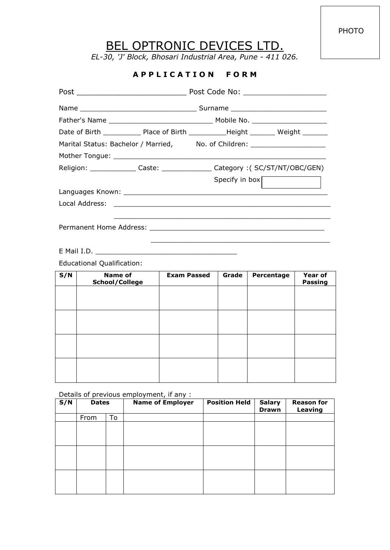PHOTO

## BEL OPTRONIC DEVICES LTD.

*EL-30, 'J' Block, Bhosari Industrial Area, Pune - 411 026.*

## **A P P L I C A T I O N F O R M**

|     |                                                               |                    | Date of Birth ______________ Place of Birth ____________Height _________ Weight ________ |                                                                                                                  |                           |  |
|-----|---------------------------------------------------------------|--------------------|------------------------------------------------------------------------------------------|------------------------------------------------------------------------------------------------------------------|---------------------------|--|
|     | Marital Status: Bachelor / Married, No. of Children: No. 1997 |                    |                                                                                          |                                                                                                                  |                           |  |
|     |                                                               |                    |                                                                                          |                                                                                                                  |                           |  |
|     |                                                               |                    | Religion: _______________ Caste: ________________ Category :( SC/ST/NT/OBC/GEN)          |                                                                                                                  |                           |  |
|     |                                                               |                    | Specify in box                                                                           |                                                                                                                  |                           |  |
|     |                                                               |                    |                                                                                          |                                                                                                                  |                           |  |
|     |                                                               |                    |                                                                                          |                                                                                                                  |                           |  |
|     |                                                               |                    |                                                                                          | and the control of the control of the control of the control of the control of the control of the control of the |                           |  |
|     | <b>Educational Qualification:</b>                             |                    |                                                                                          |                                                                                                                  |                           |  |
| S/N | <b>Name of</b><br>School/College                              | <b>Exam Passed</b> | Grade                                                                                    | Percentage                                                                                                       | Year of<br><b>Passing</b> |  |
|     |                                                               |                    |                                                                                          |                                                                                                                  |                           |  |
|     |                                                               |                    |                                                                                          |                                                                                                                  |                           |  |
|     |                                                               |                    |                                                                                          |                                                                                                                  |                           |  |
|     |                                                               |                    |                                                                                          |                                                                                                                  |                           |  |
|     |                                                               |                    |                                                                                          |                                                                                                                  |                           |  |
|     |                                                               |                    |                                                                                          |                                                                                                                  |                           |  |
|     |                                                               |                    |                                                                                          |                                                                                                                  |                           |  |
|     |                                                               |                    |                                                                                          |                                                                                                                  |                           |  |
|     |                                                               |                    |                                                                                          |                                                                                                                  |                           |  |

## Details of previous employment, if any :

| S/N | <b>Dates</b> |    | <b>Name of Employer</b> | <b>Position Held</b> | <b>Salary</b><br><b>Drawn</b> | <b>Reason for</b><br>Leaving |
|-----|--------------|----|-------------------------|----------------------|-------------------------------|------------------------------|
|     | From         | To |                         |                      |                               |                              |
|     |              |    |                         |                      |                               |                              |
|     |              |    |                         |                      |                               |                              |
|     |              |    |                         |                      |                               |                              |
|     |              |    |                         |                      |                               |                              |
|     |              |    |                         |                      |                               |                              |
|     |              |    |                         |                      |                               |                              |
|     |              |    |                         |                      |                               |                              |
|     |              |    |                         |                      |                               |                              |
|     |              |    |                         |                      |                               |                              |